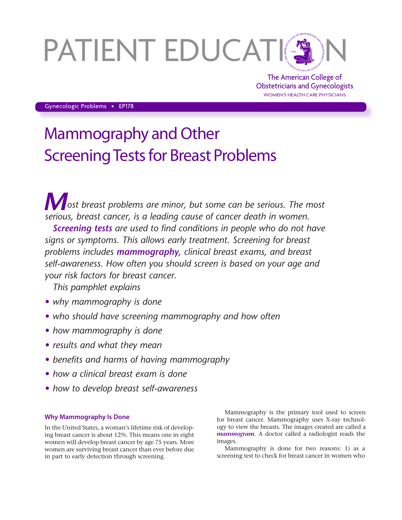# PATIENT EDUCATING

The American College of Obstetricians and Gynecologists WOMEN'S HEALTH CARE PHYSICIANS

Gynecologic Problems • EP178

# Mammography and Other Screening Tests for Breast Problems

*Most breast problems are minor, but some can be serious. The most serious, breast cancer, is a leading cause of cancer death in women.*

*Screening tests are used to find conditions in people who do not have signs or symptoms. This allows early treatment. Screening for breast problems includes mammography, clinical breast exams, and breast self-awareness. How often you should screen is based on your age and your risk factors for breast cancer.*

*This pamphlet explains*

- *• why mammography is done*
- *• who should have screening mammography and how often*
- *• how mammography is done*
- *• results and what they mean*
- *• benefits and harms of having mammography*
- *• how a clinical breast exam is done*
- *• how to develop breast self-awareness*

# **Why Mammography Is Done**

In the United States, a woman's lifetime risk of developing breast cancer is about 12%. This means one in eight women will develop breast cancer by age 75 years. More women are surviving breast cancer than ever before due in part to early detection through screening.

Mammography is the primary tool used to screen for breast cancer. Mammography uses X-ray technology to view the breasts. The images created are called a *mammogram*. A doctor called a radiologist reads the images.

Mammography is done for two reasons: 1) as a screening test to check for breast cancer in women who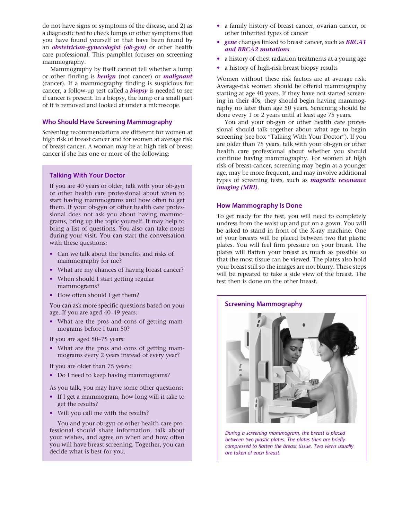do not have signs or symptoms of the disease, and 2) as a diagnostic test to check lumps or other symptoms that you have found yourself or that have been found by an *obstetrician–gynecologist (ob-gyn)* or other health care professional. This pamphlet focuses on screening mammography.

Mammography by itself cannot tell whether a lump or other finding is *benign* (not cancer) or *malignant* (cancer). If a mammography finding is suspicious for cancer, a follow-up test called a *biopsy* is needed to see if cancer is present. In a biopsy, the lump or a small part of it is removed and looked at under a microscope.

# **Who Should Have Screening Mammography**

Screening recommendations are different for women at high risk of breast cancer and for women at average risk of breast cancer. A woman may be at high risk of breast cancer if she has one or more of the following:

#### **Talking With Your Doctor**

If you are 40 years or older, talk with your ob-gyn or other health care professional about when to start having mammograms and how often to get them. If your ob-gyn or other health care professional does not ask you about having mammograms, bring up the topic yourself. It may help to bring a list of questions. You also can take notes during your visit. You can start the conversation with these questions:

- Can we talk about the benefits and risks of mammography for me?
- What are my chances of having breast cancer?
- When should I start getting regular mammograms?
- How often should I get them?

You can ask more specific questions based on your age. If you are aged 40–49 years:

• What are the pros and cons of getting mammograms before I turn 50?

If you are aged 50–75 years:

• What are the pros and cons of getting mammograms every 2 years instead of every year?

If you are older than 75 years:

• Do I need to keep having mammograms?

As you talk, you may have some other questions:

- If I get a mammogram, how long will it take to get the results?
- Will you call me with the results?

You and your ob-gyn or other health care professional should share information, talk about your wishes, and agree on when and how often you will have breast screening. Together, you can decide what is best for you.

- a family history of breast cancer, ovarian cancer, or other inherited types of cancer
- *gene* changes linked to breast cancer, such as *BRCA1 and BRCA2 mutations*
- a history of chest radiation treatments at a young age
- a history of high-risk breast biopsy results

Women without these risk factors are at average risk. Average-risk women should be offered mammography starting at age 40 years. If they have not started screening in their 40s, they should begin having mammography no later than age 50 years. Screening should be done every 1 or 2 years until at least age 75 years.

You and your ob-gyn or other health care professional should talk together about what age to begin screening (see box "Talking With Your Doctor"). If you are older than 75 years, talk with your ob-gyn or other health care professional about whether you should continue having mammography. For women at high risk of breast cancer, screening may begin at a younger age, may be more frequent, and may involve additional types of screening tests, such as *magnetic resonance imaging (MRI)*.

# **How Mammography Is Done**

To get ready for the test, you will need to completely undress from the waist up and put on a gown. You will be asked to stand in front of the X-ray machine. One of your breasts will be placed between two flat plastic plates. You will feel firm pressure on your breast. The plates will flatten your breast as much as possible so that the most tissue can be viewed. The plates also hold your breast still so the images are not blurry. These steps will be repeated to take a side view of the breast. The test then is done on the other breast.



*During a screening mammogram, the breast is placed between two plastic plates. The plates then are briefly compressed to flatten the breast tissue. Two views usually are taken of each breast.*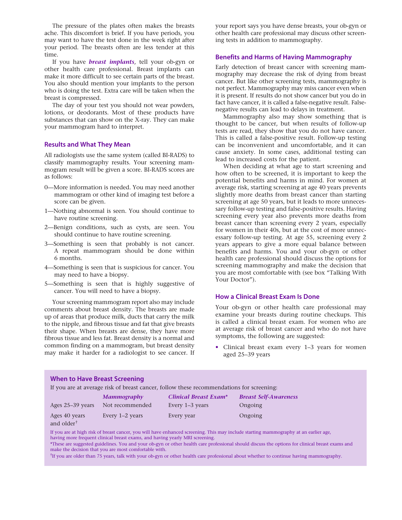The pressure of the plates often makes the breasts ache. This discomfort is brief. If you have periods, you may want to have the test done in the week right after your period. The breasts often are less tender at this time.

If you have *breast implants*, tell your ob-gyn or other health care professional. Breast implants can make it more difficult to see certain parts of the breast. You also should mention your implants to the person who is doing the test. Extra care will be taken when the breast is compressed.

The day of your test you should not wear powders, lotions, or deodorants. Most of these products have substances that can show on the X-ray. They can make your mammogram hard to interpret.

#### **Results and What They Mean**

All radiologists use the same system (called BI-RADS) to classify mammography results. Your screening mammogram result will be given a score. BI-RADS scores are as follows:

- 0—More information is needed. You may need another mammogram or other kind of imaging test before a score can be given.
- 1—Nothing abnormal is seen. You should continue to have routine screening.
- 2—Benign conditions, such as cysts, are seen. You should continue to have routine screening.
- 3—Something is seen that probably is not cancer. A repeat mammogram should be done within 6 months.
- 4—Something is seen that is suspicious for cancer. You may need to have a biopsy.
- 5—Something is seen that is highly suggestive of cancer. You will need to have a biopsy.

Your screening mammogram report also may include comments about breast density. The breasts are made up of areas that produce milk, ducts that carry the milk to the nipple, and fibrous tissue and fat that give breasts their shape. When breasts are dense, they have more fibrous tissue and less fat. Breast density is a normal and common finding on a mammogram, but breast density may make it harder for a radiologist to see cancer. If your report says you have dense breasts, your ob-gyn or other health care professional may discuss other screening tests in addition to mammography.

# **Benefits and Harms of Having Mammography**

Early detection of breast cancer with screening mammography may decrease the risk of dying from breast cancer. But like other screening tests, mammography is not perfect. Mammography may miss cancer even when it is present. If results do not show cancer but you do in fact have cancer, it is called a false-negative result. Falsenegative results can lead to delays in treatment.

Mammography also may show something that is thought to be cancer, but when results of follow-up tests are read, they show that you do not have cancer. This is called a false-positive result. Follow-up testing can be inconvenient and uncomfortable, and it can cause anxiety. In some cases, additional testing can lead to increased costs for the patient.

When deciding at what age to start screening and how often to be screened, it is important to keep the potential benefits and harms in mind. For women at average risk, starting screening at age 40 years prevents slightly more deaths from breast cancer than starting screening at age 50 years, but it leads to more unnecessary follow-up testing and false-positive results. Having screening every year also prevents more deaths from breast cancer than screening every 2 years, especially for women in their 40s, but at the cost of more unnecessary follow-up testing. At age 55, screening every 2 years appears to give a more equal balance between benefits and harms. You and your ob-gyn or other health care professional should discuss the options for screening mammography and make the decision that you are most comfortable with (see box "Talking With Your Doctor").

# **How a Clinical Breast Exam Is Done**

Your ob-gyn or other health care professional may examine your breasts during routine checkups. This is called a clinical breast exam. For women who are at average risk of breast cancer and who do not have symptoms, the following are suggested:

• Clinical breast exam every 1–3 years for women aged 25–39 years

#### **When to Have Breast Screening**

| If you are at average risk of breast cancer, follow these recommendations for screening:                                                                                                                                                               |                    |                       |                              |
|--------------------------------------------------------------------------------------------------------------------------------------------------------------------------------------------------------------------------------------------------------|--------------------|-----------------------|------------------------------|
|                                                                                                                                                                                                                                                        | <b>Mammography</b> | Clinical Breast Exam* | <b>Breast Self-Awareness</b> |
| Ages 25–39 years                                                                                                                                                                                                                                       | Not recommended    | Every 1–3 years       | Ongoing                      |
| Ages 40 years<br>and older <sup>†</sup>                                                                                                                                                                                                                | Every 1–2 years    | Every year            | Ongoing                      |
| If you are at high risk of breast cancer, you will have enhanced screening. This may include starting mammography at an earlier age,<br>and the state of the state of the state of the state of the state of the state of the state of the state of th |                    |                       |                              |

having more frequent clinical breast exams, and having yearly MRI screening. \*These are suggested guidelines. You and your ob-gyn or other health care professional should discuss the options for clinical breast exams and make the decision that you are most comfortable with.

†If you are older than 75 years, talk with your ob-gyn or other health care professional about whether to continue having mammography.